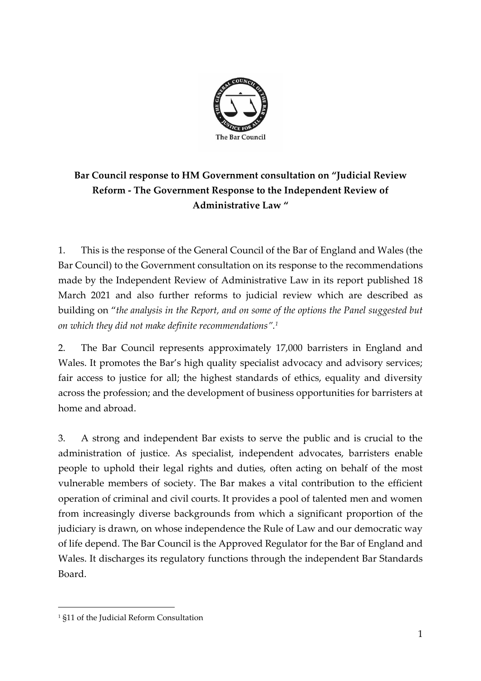

## **Bar Council response to HM Government consultation on "Judicial Review Reform - The Government Response to the Independent Review of Administrative Law "**

1. This is the response of the General Council of the Bar of England and Wales (the Bar Council) to the Government consultation on its response to the recommendations made by the Independent Review of Administrative Law in its report published 18 March 2021 and also further reforms to judicial review which are described as building on "*the analysis in the Report, and on some of the options the Panel suggested but on which they did not make definite recommendations". 1* 

2. The Bar Council represents approximately 17,000 barristers in England and Wales. It promotes the Bar's high quality specialist advocacy and advisory services; fair access to justice for all; the highest standards of ethics, equality and diversity across the profession; and the development of business opportunities for barristers at home and abroad.

3. A strong and independent Bar exists to serve the public and is crucial to the administration of justice. As specialist, independent advocates, barristers enable people to uphold their legal rights and duties, often acting on behalf of the most vulnerable members of society. The Bar makes a vital contribution to the efficient operation of criminal and civil courts. It provides a pool of talented men and women from increasingly diverse backgrounds from which a significant proportion of the judiciary is drawn, on whose independence the Rule of Law and our democratic way of life depend. The Bar Council is the Approved Regulator for the Bar of England and Wales. It discharges its regulatory functions through the independent Bar Standards Board.

<sup>1</sup> §11 of the Judicial Reform Consultation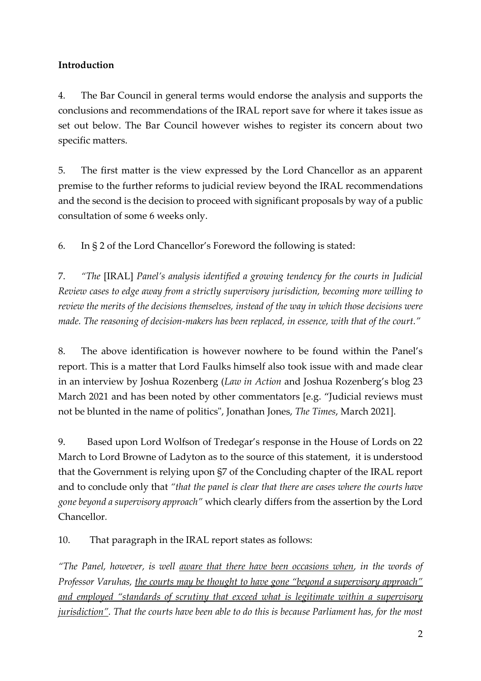### **Introduction**

4. The Bar Council in general terms would endorse the analysis and supports the conclusions and recommendations of the IRAL report save for where it takes issue as set out below. The Bar Council however wishes to register its concern about two specific matters.

5. The first matter is the view expressed by the Lord Chancellor as an apparent premise to the further reforms to judicial review beyond the IRAL recommendations and the second is the decision to proceed with significant proposals by way of a public consultation of some 6 weeks only.

6. In § 2 of the Lord Chancellor's Foreword the following is stated:

7. *"The* [IRAL] *Panel's analysis identified a growing tendency for the courts in Judicial Review cases to edge away from a strictly supervisory jurisdiction, becoming more willing to review the merits of the decisions themselves, instead of the way in which those decisions were made. The reasoning of decision-makers has been replaced, in essence, with that of the court."*

8. The above identification is however nowhere to be found within the Panel's report. This is a matter that Lord Faulks himself also took issue with and made clear in an interview by Joshua Rozenberg (*Law in Action* and Joshua Rozenberg's blog 23 March 2021 and has been noted by other commentators [e.g. "[Judicial reviews must](https://www.thetimes.co.uk/article/judicial-reviews-must-not-be-blunted-in-the-name-of-politics-dkn8dklvc)  [not be blunted in the name of politics"](https://www.thetimes.co.uk/article/judicial-reviews-must-not-be-blunted-in-the-name-of-politics-dkn8dklvc), Jonathan Jones, *The Times*, March 2021].

9. Based upon Lord Wolfson of Tredegar's response in the House of Lords on 22 March to Lord Browne of Ladyton as to the source of this statement, it is understood that the Government is relying upon §7 of the Concluding chapter of the IRAL report and to conclude only that *"that the panel is clear that there are cases where the courts have gone beyond a supervisory approach"* which clearly differs from the assertion by the Lord Chancellor*.*

10. That paragraph in the IRAL report states as follows:

*"The Panel, however, is well aware that there have been occasions when, in the words of Professor Varuhas, the courts may be thought to have gone "beyond a supervisory approach"*  and employed "standards of scrutiny that exceed what is legitimate within a supervisory *jurisdiction". That the courts have been able to do this is because Parliament has, for the most*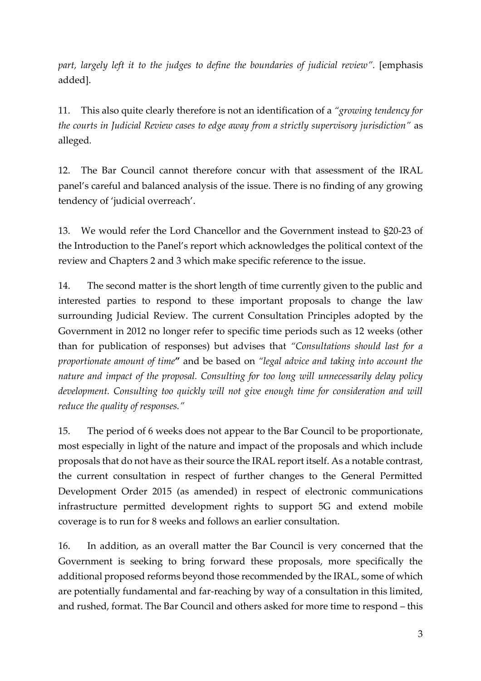*part, largely left it to the judges to define the boundaries of judicial review".* [emphasis added].

11. This also quite clearly therefore is not an identification of a *"growing tendency for the courts in Judicial Review cases to edge away from a strictly supervisory jurisdiction"* as alleged*.*

12. The Bar Council cannot therefore concur with that assessment of the IRAL panel's careful and balanced analysis of the issue. There is no finding of any growing tendency of 'judicial overreach'.

13. We would refer the Lord Chancellor and the Government instead to §20-23 of the Introduction to the Panel's report which acknowledges the political context of the review and Chapters 2 and 3 which make specific reference to the issue.

14. The second matter is the short length of time currently given to the public and interested parties to respond to these important proposals to change the law surrounding Judicial Review. The current Consultation Principles adopted by the Government in 2012 no longer refer to specific time periods such as 12 weeks (other than for publication of responses) but advises that *"Consultations should last for a proportionate amount of time***"** and be based on *"legal advice and taking into account the nature and impact of the proposal. Consulting for too long will unnecessarily delay policy development. Consulting too quickly will not give enough time for consideration and will reduce the quality of responses."*

15. The period of 6 weeks does not appear to the Bar Council to be proportionate, most especially in light of the nature and impact of the proposals and which include proposals that do not have as their source the IRAL report itself. As a notable contrast, the current consultation in respect of further changes to the General Permitted Development Order 2015 (as amended) in respect of electronic communications infrastructure permitted development rights to support 5G and extend mobile coverage is to run for 8 weeks and follows an earlier consultation.

16. In addition, as an overall matter the Bar Council is very concerned that the Government is seeking to bring forward these proposals, more specifically the additional proposed reforms beyond those recommended by the IRAL, some of which are potentially fundamental and far-reaching by way of a consultation in this limited, and rushed, format. The Bar Council and others asked for more time to respond – this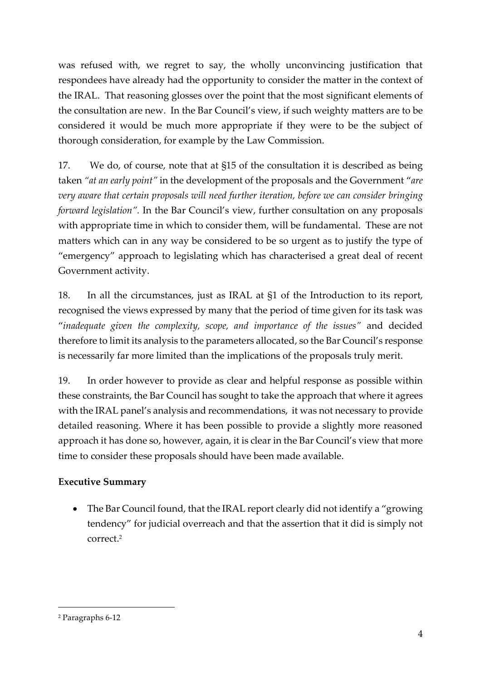was refused with, we regret to say, the wholly unconvincing justification that respondees have already had the opportunity to consider the matter in the context of the IRAL. That reasoning glosses over the point that the most significant elements of the consultation are new. In the Bar Council's view, if such weighty matters are to be considered it would be much more appropriate if they were to be the subject of thorough consideration, for example by the Law Commission.

17. We do, of course, note that at §15 of the consultation it is described as being taken *"at an early point"* in the development of the proposals and the Government "*are very aware that certain proposals will need further iteration, before we can consider bringing forward legislation".* In the Bar Council's view, further consultation on any proposals with appropriate time in which to consider them, will be fundamental. These are not matters which can in any way be considered to be so urgent as to justify the type of "emergency" approach to legislating which has characterised a great deal of recent Government activity.

18. In all the circumstances, just as IRAL at §1 of the Introduction to its report, recognised the views expressed by many that the period of time given for its task was "*inadequate given the complexity, scope, and importance of the issues"* and decided therefore to limit its analysis to the parameters allocated, so the Bar Council's response is necessarily far more limited than the implications of the proposals truly merit.

19. In order however to provide as clear and helpful response as possible within these constraints, the Bar Council has sought to take the approach that where it agrees with the IRAL panel's analysis and recommendations, it was not necessary to provide detailed reasoning. Where it has been possible to provide a slightly more reasoned approach it has done so, however, again, it is clear in the Bar Council's view that more time to consider these proposals should have been made available.

### **Executive Summary**

• The Bar Council found, that the IRAL report clearly did not identify a "growing" tendency" for judicial overreach and that the assertion that it did is simply not correct. 2

<sup>2</sup> Paragraphs 6-12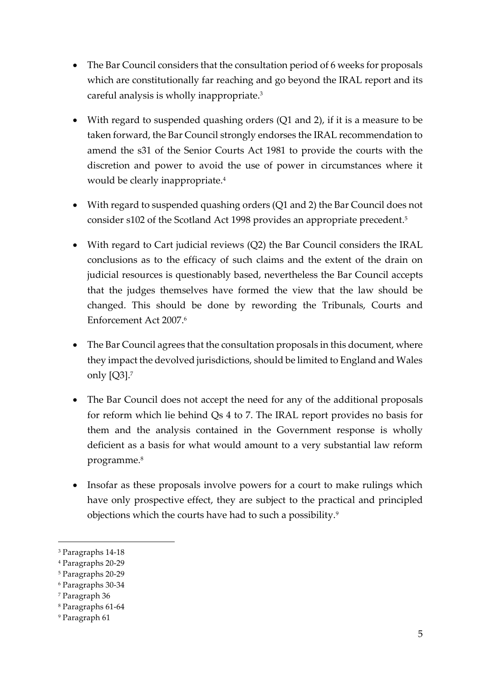- The Bar Council considers that the consultation period of 6 weeks for proposals which are constitutionally far reaching and go beyond the IRAL report and its careful analysis is wholly inappropriate. 3
- With regard to suspended quashing orders (Q1 and 2), if it is a measure to be taken forward, the Bar Council strongly endorses the IRAL recommendation to amend the s31 of the Senior Courts Act 1981 to provide the courts with the discretion and power to avoid the use of power in circumstances where it would be clearly inappropriate.<sup>4</sup>
- With regard to suspended quashing orders (Q1 and 2) the Bar Council does not consider s102 of the Scotland Act 1998 provides an appropriate precedent. 5
- With regard to Cart judicial reviews (Q2) the Bar Council considers the IRAL conclusions as to the efficacy of such claims and the extent of the drain on judicial resources is questionably based, nevertheless the Bar Council accepts that the judges themselves have formed the view that the law should be changed. This should be done by rewording the Tribunals, Courts and Enforcement Act 2007. 6
- The Bar Council agrees that the consultation proposals in this document, where they impact the devolved jurisdictions, should be limited to England and Wales only [Q3].<sup>7</sup>
- The Bar Council does not accept the need for any of the additional proposals for reform which lie behind Qs 4 to 7. The IRAL report provides no basis for them and the analysis contained in the Government response is wholly deficient as a basis for what would amount to a very substantial law reform programme.<sup>8</sup>
- Insofar as these proposals involve powers for a court to make rulings which have only prospective effect, they are subject to the practical and principled objections which the courts have had to such a possibility.<sup>9</sup>

<sup>3</sup> Paragraphs 14-18

<sup>4</sup> Paragraphs 20-29

<sup>5</sup> Paragraphs 20-29

<sup>6</sup> Paragraphs 30-34

<sup>7</sup> Paragraph 36

<sup>8</sup> Paragraphs 61-64

<sup>9</sup> Paragraph 61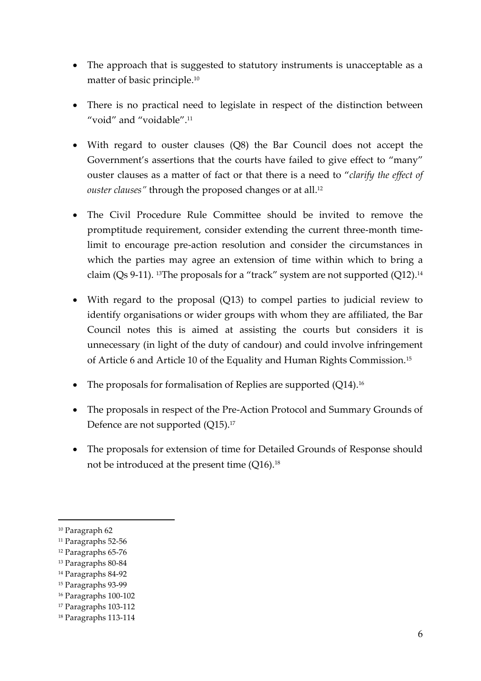- The approach that is suggested to statutory instruments is unacceptable as a matter of basic principle. 10
- There is no practical need to legislate in respect of the distinction between "void" and "voidable". $11$
- With regard to ouster clauses (Q8) the Bar Council does not accept the Government's assertions that the courts have failed to give effect to "many" ouster clauses as a matter of fact or that there is a need to "*clarify the effect of ouster clauses"* through the proposed changes or at all. 12
- The Civil Procedure Rule Committee should be invited to remove the promptitude requirement, consider extending the current three-month timelimit to encourage pre-action resolution and consider the circumstances in which the parties may agree an extension of time within which to bring a claim (Qs 9-11). <sup>13</sup>The proposals for a "track" system are not supported (Q12). 14
- With regard to the proposal (Q13) to compel parties to judicial review to identify organisations or wider groups with whom they are affiliated, the Bar Council notes this is aimed at assisting the courts but considers it is unnecessary (in light of the duty of candour) and could involve infringement of Article 6 and Article 10 of the Equality and Human Rights Commission. 15
- The proposals for formalisation of Replies are supported (Q14).<sup>16</sup>
- The proposals in respect of the Pre-Action Protocol and Summary Grounds of Defence are not supported (Q15).<sup>17</sup>
- The proposals for extension of time for Detailed Grounds of Response should not be introduced at the present time (Q16). 18

<sup>10</sup> Paragraph 62

<sup>11</sup> Paragraphs 52-56

<sup>12</sup> Paragraphs 65-76

<sup>13</sup> Paragraphs 80-84

<sup>14</sup> Paragraphs 84-92

<sup>15</sup> Paragraphs 93-99

<sup>16</sup> Paragraphs 100-102

<sup>17</sup> Paragraphs 103-112

<sup>18</sup> Paragraphs 113-114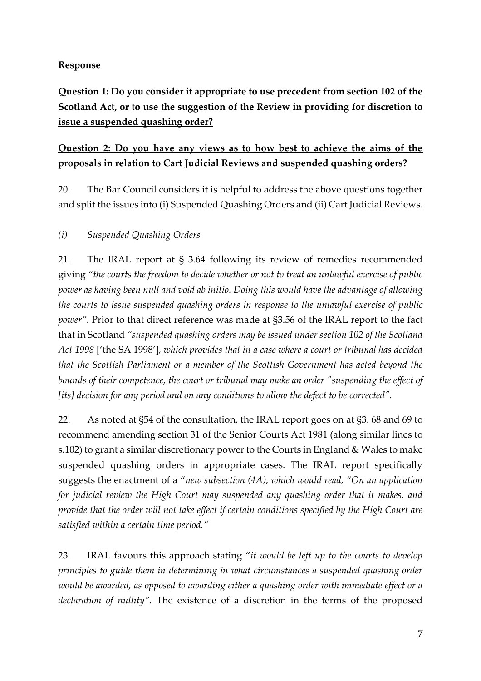#### **Response**

**Question 1: Do you consider it appropriate to use precedent from section 102 of the Scotland Act, or to use the suggestion of the Review in providing for discretion to issue a suspended quashing order?** 

### **Question 2: Do you have any views as to how best to achieve the aims of the proposals in relation to Cart Judicial Reviews and suspended quashing orders?**

20. The Bar Council considers it is helpful to address the above questions together and split the issues into (i) Suspended Quashing Orders and (ii) Cart Judicial Reviews.

### *(i) Suspended Quashing Orders*

21. The IRAL report at § 3.64 following its review of remedies recommended giving *"the courts the freedom to decide whether or not to treat an unlawful exercise of public power as having been null and void ab initio. Doing this would have the advantage of allowing the courts to issue suspended quashing orders in response to the unlawful exercise of public power".* Prior to that direct reference was made at §3.56 of the IRAL report to the fact that in Scotland *"suspended quashing orders may be issued under section 102 of the Scotland Act 1998* ['the SA 1998']*, which provides that in a case where a court or tribunal has decided that the Scottish Parliament or a member of the Scottish Government has acted beyond the bounds of their competence, the court or tribunal may make an order "suspending the effect of [its] decision for any period and on any conditions to allow the defect to be corrected".* 

22. As noted at §54 of the consultation, the IRAL report goes on at §3. 68 and 69 to recommend amending section 31 of the Senior Courts Act 1981 (along similar lines to s.102) to grant a similar discretionary power to the Courts in England & Wales to make suspended quashing orders in appropriate cases. The IRAL report specifically suggests the enactment of a "*new subsection (4A), which would read, "On an application for judicial review the High Court may suspended any quashing order that it makes, and provide that the order will not take effect if certain conditions specified by the High Court are satisfied within a certain time period."* 

23. IRAL favours this approach stating "*it would be left up to the courts to develop principles to guide them in determining in what circumstances a suspended quashing order would be awarded, as opposed to awarding either a quashing order with immediate effect or a declaration of nullity".* The existence of a discretion in the terms of the proposed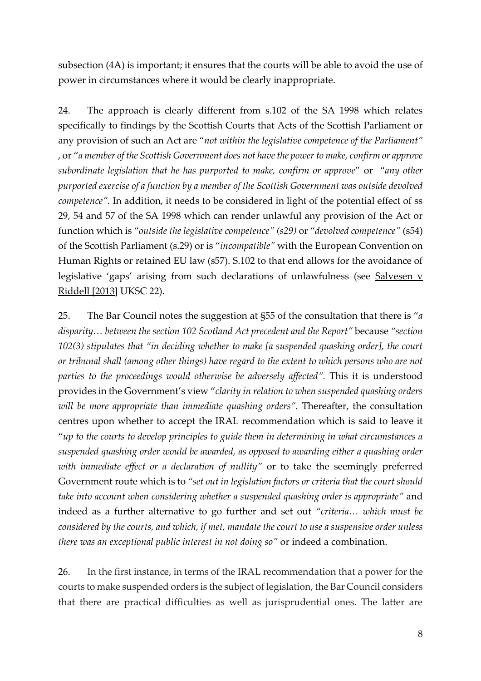subsection (4A) is important; it ensures that the courts will be able to avoid the use of power in circumstances where it would be clearly inappropriate.

24. The approach is clearly different from s.102 of the SA 1998 which relates specifically to findings by the Scottish Courts that Acts of the Scottish Parliament or any provision of such an Act are "*not within the legislative competence of the Parliament"*  , or "*a member of the Scottish Government does not have the power to make, confirm or approve subordinate legislation that he has purported to make, confirm or approve*" or "*any other purported exercise of a function by a member of the Scottish Government was outside devolved competence".* In addition, it needs to be considered in light of the potential effect of ss 29, 54 and 57 of the SA 1998 which can render unlawful any provision of the Act or function which is "*outside the legislative competence" (s29)* or "*devolved competence"* (s54) of the Scottish Parliament (s.29) or is "*incompatible"* with the European Convention on Human Rights or retained EU law (s57). S.102 to that end allows for the avoidance of legislative 'gaps' arising from such declarations of unlawfulness (see Salvesen v Riddell [2013] UKSC 22).

25. The Bar Council notes the suggestion at §55 of the consultation that there is "*a disparity… between the section 102 Scotland Act precedent and the Report"* because *"section 102(3) stipulates that "in deciding whether to make [a suspended quashing order], the court or tribunal shall (among other things) have regard to the extent to which persons who are not parties to the proceedings would otherwise be adversely affected".* This it is understood provides in the Government's view "*clarity in relation to when suspended quashing orders will be more appropriate than immediate quashing orders".* Thereafter, the consultation centres upon whether to accept the IRAL recommendation which is said to leave it "*up to the courts to develop principles to guide them in determining in what circumstances a suspended quashing order would be awarded, as opposed to awarding either a quashing order with immediate effect or a declaration of nullity"* or to take the seemingly preferred Government route which is to *"set out in legislation factors or criteria that the court should take into account when considering whether a suspended quashing order is appropriate"* and indeed as a further alternative to go further and set out *"criteria… which must be considered by the courts, and which, if met, mandate the court to use a suspensive order unless there was an exceptional public interest in not doing so"* or indeed a combination.

26. In the first instance, in terms of the IRAL recommendation that a power for the courts to make suspended orders is the subject of legislation, the Bar Council considers that there are practical difficulties as well as jurisprudential ones. The latter are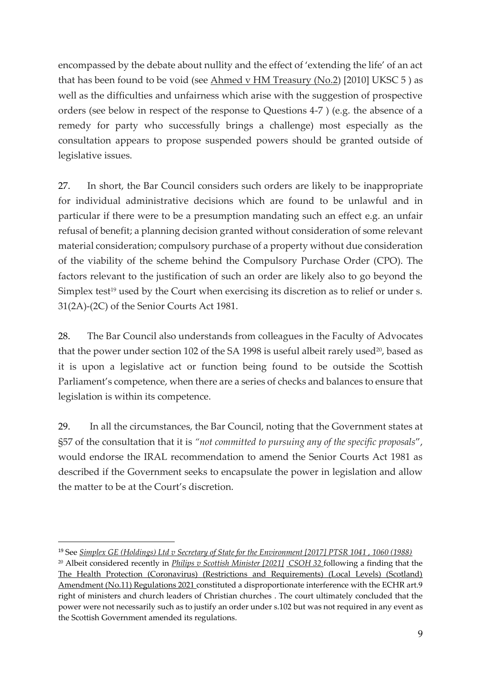encompassed by the debate about nullity and the effect of 'extending the life' of an act that has been found to be void (see  $\Delta h$ med v HM Treasury (No.2) [2010] UKSC 5 ) as well as the difficulties and unfairness which arise with the suggestion of prospective orders (see below in respect of the response to Questions 4-7 ) (e.g. the absence of a remedy for party who successfully brings a challenge) most especially as the consultation appears to propose suspended powers should be granted outside of legislative issues.

27. In short, the Bar Council considers such orders are likely to be inappropriate for individual administrative decisions which are found to be unlawful and in particular if there were to be a presumption mandating such an effect e.g. an unfair refusal of benefit; a planning decision granted without consideration of some relevant material consideration; compulsory purchase of a property without due consideration of the viability of the scheme behind the Compulsory Purchase Order (CPO). The factors relevant to the justification of such an order are likely also to go beyond the Simplex test<sup>19</sup> used by the Court when exercising its discretion as to relief or under s. 31(2A)-(2C) of the Senior Courts Act 1981.

28. The Bar Council also understands from colleagues in the Faculty of Advocates that the power under section 102 of the SA 1998 is useful albeit rarely used $20$ , based as it is upon a legislative act or function being found to be outside the Scottish Parliament's competence, when there are a series of checks and balances to ensure that legislation is within its competence.

29. In all the circumstances, the Bar Council, noting that the Government states at §57 of the consultation that it is *"not committed to pursuing any of the specific proposals*", would endorse the IRAL recommendation to amend the Senior Courts Act 1981 as described if the Government seeks to encapsulate the power in legislation and allow the matter to be at the Court's discretion.

<sup>19</sup> See *Simplex GE (Holdings) Ltd v Secretary of State for the Environment [2017] PTSR 1041 , 1060 (1988)*

<sup>20</sup> Albeit considered recently in *Philips v Scottish Minister [2021] CSOH 32* following a finding that the The Health Protection (Coronavirus) (Restrictions and Requirements) (Local Levels) (Scotland) Amendment (No.11) Regulations 2021 constituted a disproportionate interference with the ECHR art.9 right of ministers and church leaders of Christian churches . The court ultimately concluded that the power were not necessarily such as to justify an order under s.102 but was not required in any event as the Scottish Government amended its regulations.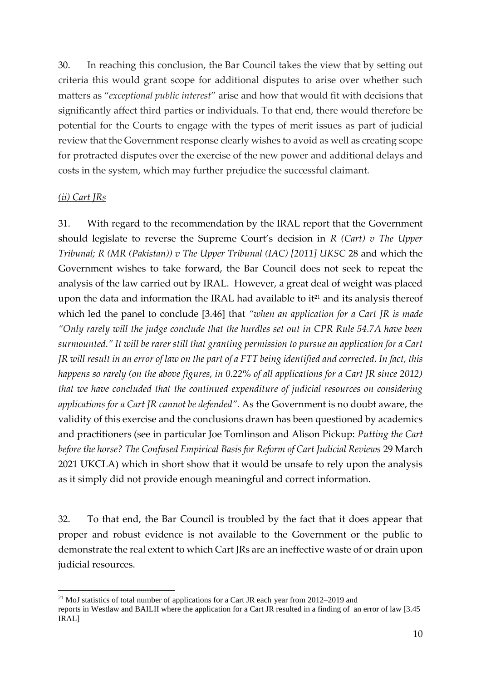30. In reaching this conclusion, the Bar Council takes the view that by setting out criteria this would grant scope for additional disputes to arise over whether such matters as "*exceptional public interest*" arise and how that would fit with decisions that significantly affect third parties or individuals. To that end, there would therefore be potential for the Courts to engage with the types of merit issues as part of judicial review that the Government response clearly wishes to avoid as well as creating scope for protracted disputes over the exercise of the new power and additional delays and costs in the system, which may further prejudice the successful claimant.

#### *(ii) Cart JRs*

31. With regard to the recommendation by the IRAL report that the Government should legislate to reverse the Supreme Court's decision in *R (Cart) v The Upper Tribunal; R (MR (Pakistan)) v The Upper Tribunal (IAC) [2011] UKSC 28 and which the* Government wishes to take forward, the Bar Council does not seek to repeat the analysis of the law carried out by IRAL. However, a great deal of weight was placed upon the data and information the IRAL had available to  $it^{21}$  and its analysis thereof which led the panel to conclude [3.46] that *"when an application for a Cart JR is made "Only rarely will the judge conclude that the hurdles set out in CPR Rule 54.7A have been surmounted." It will be rarer still that granting permission to pursue an application for a Cart JR will result in an error of law on the part of a FTT being identified and corrected. In fact, this happens so rarely (on the above figures, in 0.22% of all applications for a Cart JR since 2012) that we have concluded that the continued expenditure of judicial resources on considering applications for a Cart JR cannot be defended".* As the Government is no doubt aware, the validity of this exercise and the conclusions drawn has been questioned by academics and practitioners (see in particular Joe Tomlinson and Alison Pickup: *Putting the Cart before the horse? The Confused Empirical Basis for Reform of Cart Judicial Reviews* 29 March 2021 UKCLA) which in short show that it would be unsafe to rely upon the analysis as it simply did not provide enough meaningful and correct information.

32. To that end, the Bar Council is troubled by the fact that it does appear that proper and robust evidence is not available to the Government or the public to demonstrate the real extent to which Cart JRs are an ineffective waste of or drain upon judicial resources.

<sup>&</sup>lt;sup>21</sup> MoJ statistics of total number of applications for a Cart JR each year from  $2012-2019$  and

reports in Westlaw and BAILII where the application for a Cart JR resulted in a finding of an error of law [3.45 IRAL]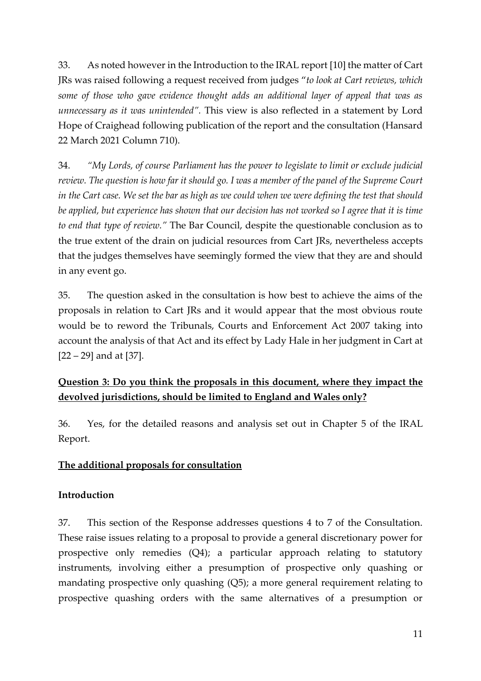33. As noted however in the Introduction to the IRAL report [10] the matter of Cart JRs was raised following a request received from judges "*to look at Cart reviews, which some of those who gave evidence thought adds an additional layer of appeal that was as unnecessary as it was unintended".* This view is also reflected in a statement by Lord Hope of Craighead following publication of the report and the consultation (Hansard 22 March 2021 Column 710).

34. *"My Lords, of course Parliament has the power to legislate to limit or exclude judicial review. The question is how far it should go. I was a member of the panel of the Supreme Court in the Cart case. We set the bar as high as we could when we were defining the test that should be applied, but experience has shown that our decision has not worked so I agree that it is time to end that type of review."* The Bar Council, despite the questionable conclusion as to the true extent of the drain on judicial resources from Cart JRs, nevertheless accepts that the judges themselves have seemingly formed the view that they are and should in any event go.

35. The question asked in the consultation is how best to achieve the aims of the proposals in relation to Cart JRs and it would appear that the most obvious route would be to reword the Tribunals, Courts and Enforcement Act 2007 taking into account the analysis of that Act and its effect by Lady Hale in her judgment in Cart at [22 – 29] and at [37].

## **Question 3: Do you think the proposals in this document, where they impact the devolved jurisdictions, should be limited to England and Wales only?**

36. Yes, for the detailed reasons and analysis set out in Chapter 5 of the IRAL Report.

#### **The additional proposals for consultation**

#### **Introduction**

37. This section of the Response addresses questions 4 to 7 of the Consultation. These raise issues relating to a proposal to provide a general discretionary power for prospective only remedies (Q4); a particular approach relating to statutory instruments, involving either a presumption of prospective only quashing or mandating prospective only quashing (Q5); a more general requirement relating to prospective quashing orders with the same alternatives of a presumption or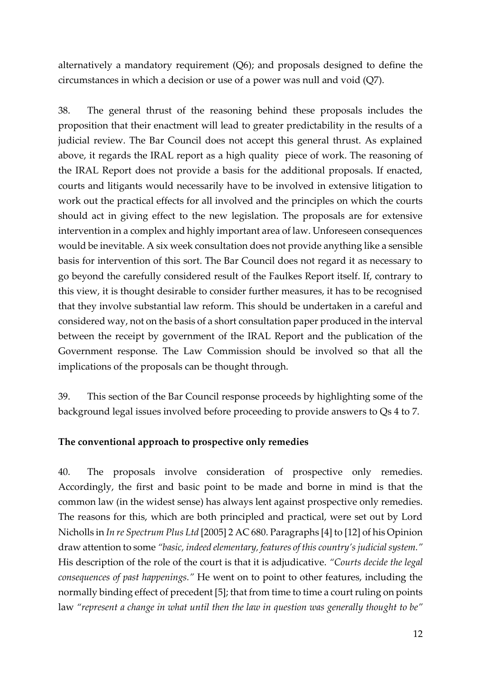alternatively a mandatory requirement (Q6); and proposals designed to define the circumstances in which a decision or use of a power was null and void (Q7).

38. The general thrust of the reasoning behind these proposals includes the proposition that their enactment will lead to greater predictability in the results of a judicial review. The Bar Council does not accept this general thrust. As explained above, it regards the IRAL report as a high quality piece of work. The reasoning of the IRAL Report does not provide a basis for the additional proposals. If enacted, courts and litigants would necessarily have to be involved in extensive litigation to work out the practical effects for all involved and the principles on which the courts should act in giving effect to the new legislation. The proposals are for extensive intervention in a complex and highly important area of law. Unforeseen consequences would be inevitable. A six week consultation does not provide anything like a sensible basis for intervention of this sort. The Bar Council does not regard it as necessary to go beyond the carefully considered result of the Faulkes Report itself. If, contrary to this view, it is thought desirable to consider further measures, it has to be recognised that they involve substantial law reform. This should be undertaken in a careful and considered way, not on the basis of a short consultation paper produced in the interval between the receipt by government of the IRAL Report and the publication of the Government response. The Law Commission should be involved so that all the implications of the proposals can be thought through.

39. This section of the Bar Council response proceeds by highlighting some of the background legal issues involved before proceeding to provide answers to Qs 4 to 7.

#### **The conventional approach to prospective only remedies**

40. The proposals involve consideration of prospective only remedies. Accordingly, the first and basic point to be made and borne in mind is that the common law (in the widest sense) has always lent against prospective only remedies. The reasons for this, which are both principled and practical, were set out by Lord Nicholls in *In re Spectrum Plus Ltd* [2005] 2 AC 680. Paragraphs [4] to [12] of his Opinion draw attention to some *"basic, indeed elementary, features of this country's judicial system."* His description of the role of the court is that it is adjudicative. *"Courts decide the legal consequences of past happenings."* He went on to point to other features, including the normally binding effect of precedent [5]; that from time to time a court ruling on points law *"represent a change in what until then the law in question was generally thought to be"*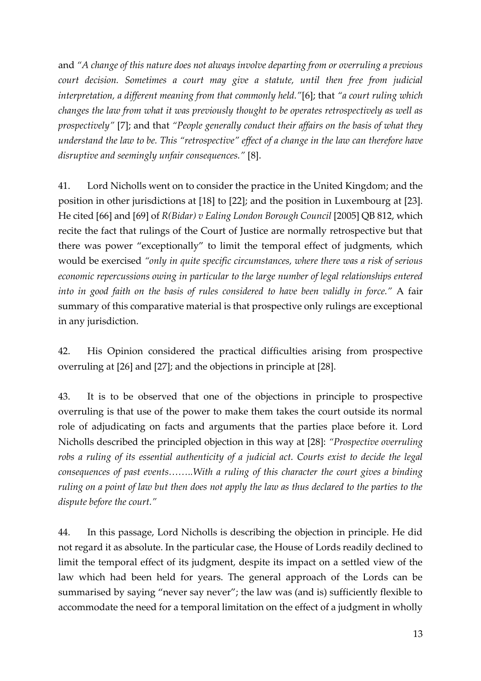and *"A change of this nature does not always involve departing from or overruling a previous court decision. Sometimes a court may give a statute, until then free from judicial interpretation, a different meaning from that commonly held."*[6]; that *"a court ruling which changes the law from what it was previously thought to be operates retrospectively as well as prospectively"* [7]; and that *"People generally conduct their affairs on the basis of what they understand the law to be. This "retrospective" effect of a change in the law can therefore have disruptive and seemingly unfair consequences."* [8].

41. Lord Nicholls went on to consider the practice in the United Kingdom; and the position in other jurisdictions at [18] to [22]; and the position in Luxembourg at [23]. He cited [66] and [69] of *R(Bidar) v Ealing London Borough Council* [2005] QB 812, which recite the fact that rulings of the Court of Justice are normally retrospective but that there was power "exceptionally" to limit the temporal effect of judgments, which would be exercised *"only in quite specific circumstances, where there was a risk of serious economic repercussions owing in particular to the large number of legal relationships entered into in good faith on the basis of rules considered to have been validly in force."* A fair summary of this comparative material is that prospective only rulings are exceptional in any jurisdiction.

42. His Opinion considered the practical difficulties arising from prospective overruling at [26] and [27]; and the objections in principle at [28].

43. It is to be observed that one of the objections in principle to prospective overruling is that use of the power to make them takes the court outside its normal role of adjudicating on facts and arguments that the parties place before it. Lord Nicholls described the principled objection in this way at [28]: *"Prospective overruling robs a ruling of its essential authenticity of a judicial act. Courts exist to decide the legal consequences of past events……..With a ruling of this character the court gives a binding ruling on a point of law but then does not apply the law as thus declared to the parties to the dispute before the court."*

44. In this passage, Lord Nicholls is describing the objection in principle. He did not regard it as absolute. In the particular case, the House of Lords readily declined to limit the temporal effect of its judgment, despite its impact on a settled view of the law which had been held for years. The general approach of the Lords can be summarised by saying "never say never"; the law was (and is) sufficiently flexible to accommodate the need for a temporal limitation on the effect of a judgment in wholly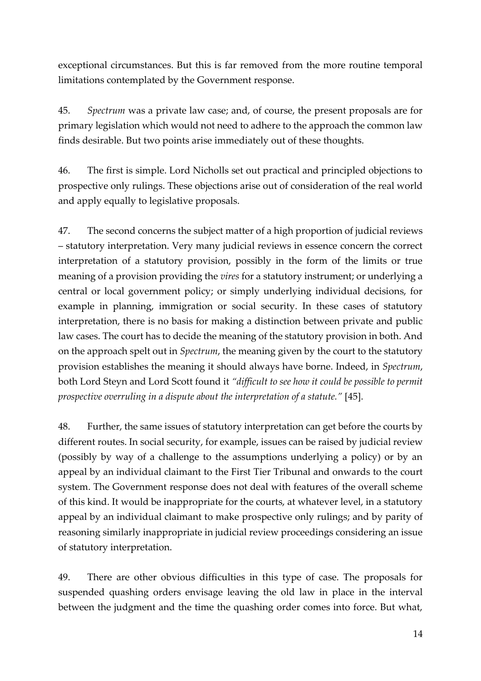exceptional circumstances. But this is far removed from the more routine temporal limitations contemplated by the Government response.

45. *Spectrum* was a private law case; and, of course, the present proposals are for primary legislation which would not need to adhere to the approach the common law finds desirable. But two points arise immediately out of these thoughts.

46. The first is simple. Lord Nicholls set out practical and principled objections to prospective only rulings. These objections arise out of consideration of the real world and apply equally to legislative proposals.

47. The second concerns the subject matter of a high proportion of judicial reviews – statutory interpretation. Very many judicial reviews in essence concern the correct interpretation of a statutory provision, possibly in the form of the limits or true meaning of a provision providing the *vires* for a statutory instrument; or underlying a central or local government policy; or simply underlying individual decisions, for example in planning, immigration or social security. In these cases of statutory interpretation, there is no basis for making a distinction between private and public law cases. The court has to decide the meaning of the statutory provision in both. And on the approach spelt out in *Spectrum*, the meaning given by the court to the statutory provision establishes the meaning it should always have borne. Indeed, in *Spectrum*, both Lord Steyn and Lord Scott found it *"difficult to see how it could be possible to permit prospective overruling in a dispute about the interpretation of a statute."* [45].

48. Further, the same issues of statutory interpretation can get before the courts by different routes. In social security, for example, issues can be raised by judicial review (possibly by way of a challenge to the assumptions underlying a policy) or by an appeal by an individual claimant to the First Tier Tribunal and onwards to the court system. The Government response does not deal with features of the overall scheme of this kind. It would be inappropriate for the courts, at whatever level, in a statutory appeal by an individual claimant to make prospective only rulings; and by parity of reasoning similarly inappropriate in judicial review proceedings considering an issue of statutory interpretation.

49. There are other obvious difficulties in this type of case. The proposals for suspended quashing orders envisage leaving the old law in place in the interval between the judgment and the time the quashing order comes into force. But what,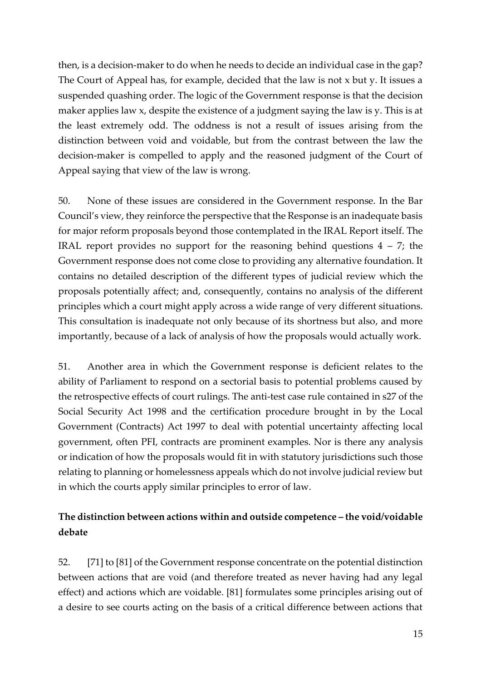then, is a decision-maker to do when he needs to decide an individual case in the gap? The Court of Appeal has, for example, decided that the law is not x but y. It issues a suspended quashing order. The logic of the Government response is that the decision maker applies law x, despite the existence of a judgment saying the law is y. This is at the least extremely odd. The oddness is not a result of issues arising from the distinction between void and voidable, but from the contrast between the law the decision-maker is compelled to apply and the reasoned judgment of the Court of Appeal saying that view of the law is wrong.

50. None of these issues are considered in the Government response. In the Bar Council's view, they reinforce the perspective that the Response is an inadequate basis for major reform proposals beyond those contemplated in the IRAL Report itself. The IRAL report provides no support for the reasoning behind questions  $4 - 7$ ; the Government response does not come close to providing any alternative foundation. It contains no detailed description of the different types of judicial review which the proposals potentially affect; and, consequently, contains no analysis of the different principles which a court might apply across a wide range of very different situations. This consultation is inadequate not only because of its shortness but also, and more importantly, because of a lack of analysis of how the proposals would actually work.

51. Another area in which the Government response is deficient relates to the ability of Parliament to respond on a sectorial basis to potential problems caused by the retrospective effects of court rulings. The anti-test case rule contained in s27 of the Social Security Act 1998 and the certification procedure brought in by the Local Government (Contracts) Act 1997 to deal with potential uncertainty affecting local government, often PFI, contracts are prominent examples. Nor is there any analysis or indication of how the proposals would fit in with statutory jurisdictions such those relating to planning or homelessness appeals which do not involve judicial review but in which the courts apply similar principles to error of law.

### **The distinction between actions within and outside competence – the void/voidable debate**

52. [71] to [81] of the Government response concentrate on the potential distinction between actions that are void (and therefore treated as never having had any legal effect) and actions which are voidable. [81] formulates some principles arising out of a desire to see courts acting on the basis of a critical difference between actions that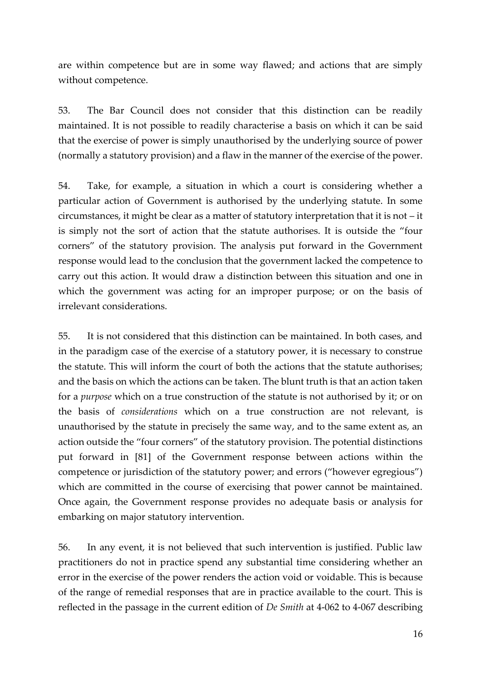are within competence but are in some way flawed; and actions that are simply without competence.

53. The Bar Council does not consider that this distinction can be readily maintained. It is not possible to readily characterise a basis on which it can be said that the exercise of power is simply unauthorised by the underlying source of power (normally a statutory provision) and a flaw in the manner of the exercise of the power.

54. Take, for example, a situation in which a court is considering whether a particular action of Government is authorised by the underlying statute. In some circumstances, it might be clear as a matter of statutory interpretation that it is not – it is simply not the sort of action that the statute authorises. It is outside the "four corners" of the statutory provision. The analysis put forward in the Government response would lead to the conclusion that the government lacked the competence to carry out this action. It would draw a distinction between this situation and one in which the government was acting for an improper purpose; or on the basis of irrelevant considerations.

55. It is not considered that this distinction can be maintained. In both cases, and in the paradigm case of the exercise of a statutory power, it is necessary to construe the statute. This will inform the court of both the actions that the statute authorises; and the basis on which the actions can be taken. The blunt truth is that an action taken for a *purpose* which on a true construction of the statute is not authorised by it; or on the basis of *considerations* which on a true construction are not relevant, is unauthorised by the statute in precisely the same way, and to the same extent as, an action outside the "four corners" of the statutory provision. The potential distinctions put forward in [81] of the Government response between actions within the competence or jurisdiction of the statutory power; and errors ("however egregious") which are committed in the course of exercising that power cannot be maintained. Once again, the Government response provides no adequate basis or analysis for embarking on major statutory intervention.

56. In any event, it is not believed that such intervention is justified. Public law practitioners do not in practice spend any substantial time considering whether an error in the exercise of the power renders the action void or voidable. This is because of the range of remedial responses that are in practice available to the court. This is reflected in the passage in the current edition of *De Smith* at 4-062 to 4-067 describing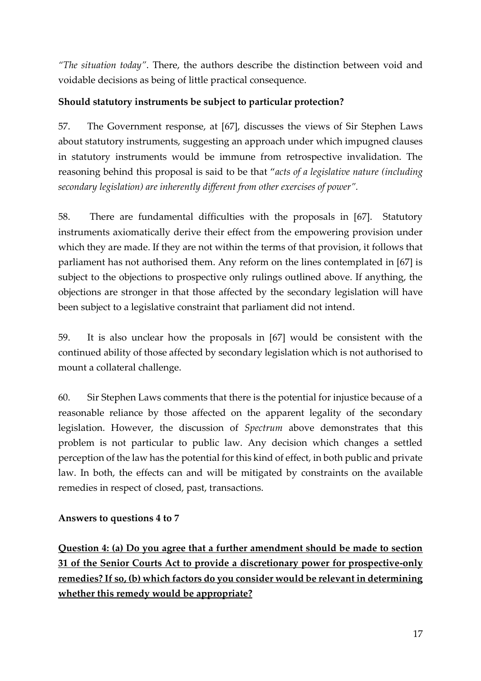*"The situation today"*. There, the authors describe the distinction between void and voidable decisions as being of little practical consequence.

### **Should statutory instruments be subject to particular protection?**

57. The Government response, at [67], discusses the views of Sir Stephen Laws about statutory instruments, suggesting an approach under which impugned clauses in statutory instruments would be immune from retrospective invalidation. The reasoning behind this proposal is said to be that "*acts of a legislative nature (including secondary legislation) are inherently different from other exercises of power".*

58. There are fundamental difficulties with the proposals in [67]. Statutory instruments axiomatically derive their effect from the empowering provision under which they are made. If they are not within the terms of that provision, it follows that parliament has not authorised them. Any reform on the lines contemplated in [67] is subject to the objections to prospective only rulings outlined above. If anything, the objections are stronger in that those affected by the secondary legislation will have been subject to a legislative constraint that parliament did not intend.

59. It is also unclear how the proposals in [67] would be consistent with the continued ability of those affected by secondary legislation which is not authorised to mount a collateral challenge.

60. Sir Stephen Laws comments that there is the potential for injustice because of a reasonable reliance by those affected on the apparent legality of the secondary legislation. However, the discussion of *Spectrum* above demonstrates that this problem is not particular to public law. Any decision which changes a settled perception of the law has the potential for this kind of effect, in both public and private law. In both, the effects can and will be mitigated by constraints on the available remedies in respect of closed, past, transactions.

#### **Answers to questions 4 to 7**

**Question 4: (a) Do you agree that a further amendment should be made to section 31 of the Senior Courts Act to provide a discretionary power for prospective-only remedies? If so, (b) which factors do you consider would be relevant in determining whether this remedy would be appropriate?**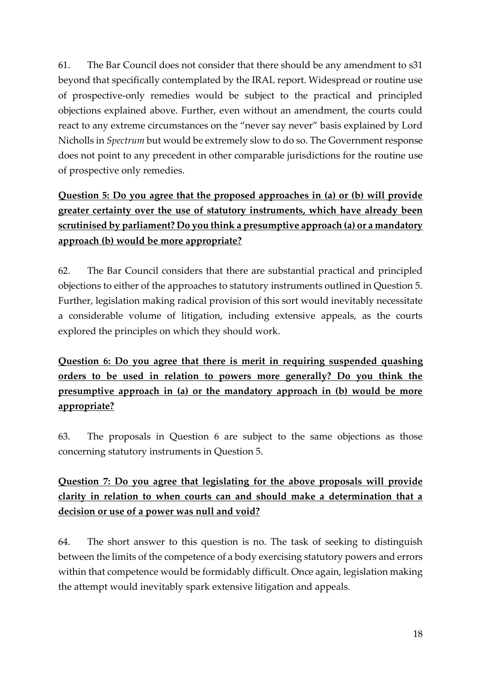61. The Bar Council does not consider that there should be any amendment to s31 beyond that specifically contemplated by the IRAL report. Widespread or routine use of prospective-only remedies would be subject to the practical and principled objections explained above. Further, even without an amendment, the courts could react to any extreme circumstances on the "never say never" basis explained by Lord Nicholls in *Spectrum* but would be extremely slow to do so. The Government response does not point to any precedent in other comparable jurisdictions for the routine use of prospective only remedies.

# **Question 5: Do you agree that the proposed approaches in (a) or (b) will provide greater certainty over the use of statutory instruments, which have already been scrutinised by parliament? Do you think a presumptive approach (a) or a mandatory approach (b) would be more appropriate?**

62. The Bar Council considers that there are substantial practical and principled objections to either of the approaches to statutory instruments outlined in Question 5. Further, legislation making radical provision of this sort would inevitably necessitate a considerable volume of litigation, including extensive appeals, as the courts explored the principles on which they should work.

# **Question 6: Do you agree that there is merit in requiring suspended quashing orders to be used in relation to powers more generally? Do you think the presumptive approach in (a) or the mandatory approach in (b) would be more appropriate?**

63. The proposals in Question 6 are subject to the same objections as those concerning statutory instruments in Question 5.

# **Question 7: Do you agree that legislating for the above proposals will provide clarity in relation to when courts can and should make a determination that a decision or use of a power was null and void?**

64. The short answer to this question is no. The task of seeking to distinguish between the limits of the competence of a body exercising statutory powers and errors within that competence would be formidably difficult. Once again, legislation making the attempt would inevitably spark extensive litigation and appeals.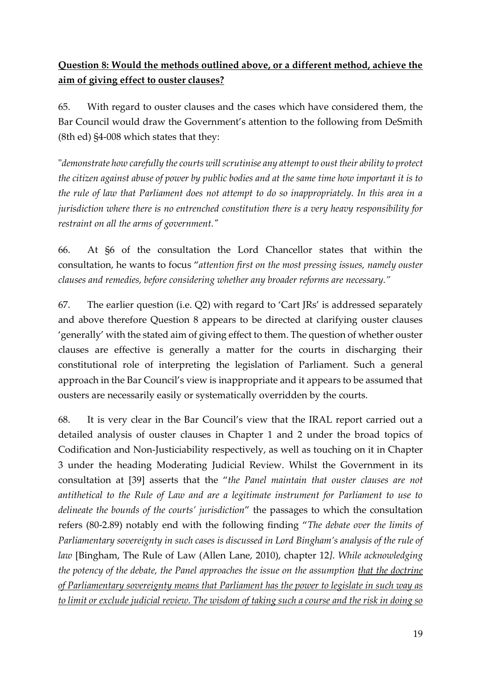## **Question 8: Would the methods outlined above, or a different method, achieve the aim of giving effect to ouster clauses?**

65. With regard to ouster clauses and the cases which have considered them, the Bar Council would draw the Government's attention to the following from DeSmith (8th ed) §4-008 which states that they:

"*demonstrate how carefully the courts will scrutinise any attempt to oust their ability to protect the citizen against abuse of power by public bodies and at the same time how important it is to the rule of law that Parliament does not attempt to do so inappropriately. In this area in a jurisdiction where there is no entrenched constitution there is a very heavy responsibility for restraint on all the arms of government."*

66. At §6 of the consultation the Lord Chancellor states that within the consultation, he wants to focus "*attention first on the most pressing issues, namely ouster clauses and remedies, before considering whether any broader reforms are necessary."*

67. The earlier question (i.e. Q2) with regard to 'Cart JRs' is addressed separately and above therefore Question 8 appears to be directed at clarifying ouster clauses 'generally' with the stated aim of giving effect to them. The question of whether ouster clauses are effective is generally a matter for the courts in discharging their constitutional role of interpreting the legislation of Parliament. Such a general approach in the Bar Council's view is inappropriate and it appears to be assumed that ousters are necessarily easily or systematically overridden by the courts.

68. It is very clear in the Bar Council's view that the IRAL report carried out a detailed analysis of ouster clauses in Chapter 1 and 2 under the broad topics of Codification and Non-Justiciability respectively, as well as touching on it in Chapter 3 under the heading Moderating Judicial Review. Whilst the Government in its consultation at [39] asserts that the "*the Panel maintain that ouster clauses are not antithetical to the Rule of Law and are a legitimate instrument for Parliament to use to delineate the bounds of the courts' jurisdiction*" the passages to which the consultation refers (80-2.89) notably end with the following finding "*The debate over the limits of Parliamentary sovereignty in such cases is discussed in Lord Bingham's analysis of the rule of law* [Bingham, The Rule of Law (Allen Lane, 2010), chapter 12*]*. *While acknowledging the potency of the debate, the Panel approaches the issue on the assumption that the doctrine of Parliamentary sovereignty means that Parliament has the power to legislate in such way as to limit or exclude judicial review. The wisdom of taking such a course and the risk in doing so*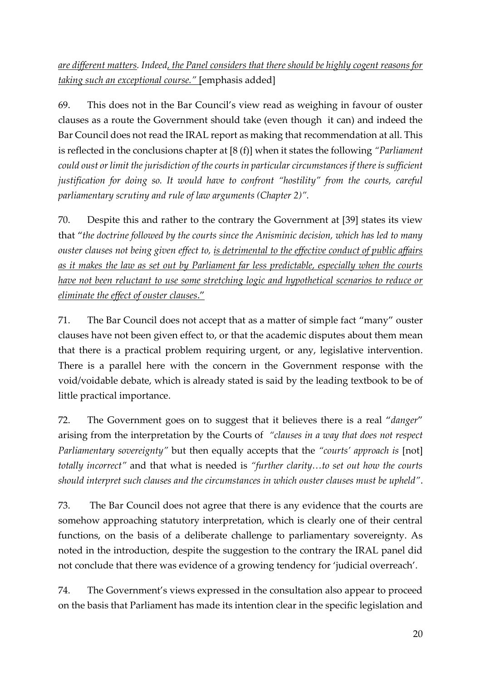*are different matters. Indeed, the Panel considers that there should be highly cogent reasons for taking such an exceptional course."* [emphasis added]

69. This does not in the Bar Council's view read as weighing in favour of ouster clauses as a route the Government should take (even though it can) and indeed the Bar Council does not read the IRAL report as making that recommendation at all. This is reflected in the conclusions chapter at [8 (f)] when it states the following *"Parliament could oust or limit the jurisdiction of the courts in particular circumstances if there is sufficient justification for doing so. It would have to confront "hostility" from the courts, careful parliamentary scrutiny and rule of law arguments (Chapter 2)".*

70. Despite this and rather to the contrary the Government at [39] states its view that "*the doctrine followed by the courts since the Anisminic decision, which has led to many ouster clauses not being given effect to, is detrimental to the effective conduct of public affairs as it makes the law as set out by Parliament far less predictable, especially when the courts have not been reluctant to use some stretching logic and hypothetical scenarios to reduce or eliminate the effect of ouster clauses*."

71. The Bar Council does not accept that as a matter of simple fact "many" ouster clauses have not been given effect to, or that the academic disputes about them mean that there is a practical problem requiring urgent, or any, legislative intervention. There is a parallel here with the concern in the Government response with the void/voidable debate, which is already stated is said by the leading textbook to be of little practical importance.

72. The Government goes on to suggest that it believes there is a real "*danger*" arising from the interpretation by the Courts of *"clauses in a way that does not respect Parliamentary sovereignty"* but then equally accepts that the *"courts' approach is* [not] *totally incorrect"* and that what is needed is *"further clarity…to set out how the courts should interpret such clauses and the circumstances in which ouster clauses must be upheld"*.

73. The Bar Council does not agree that there is any evidence that the courts are somehow approaching statutory interpretation, which is clearly one of their central functions, on the basis of a deliberate challenge to parliamentary sovereignty. As noted in the introduction, despite the suggestion to the contrary the IRAL panel did not conclude that there was evidence of a growing tendency for 'judicial overreach'.

74. The Government's views expressed in the consultation also appear to proceed on the basis that Parliament has made its intention clear in the specific legislation and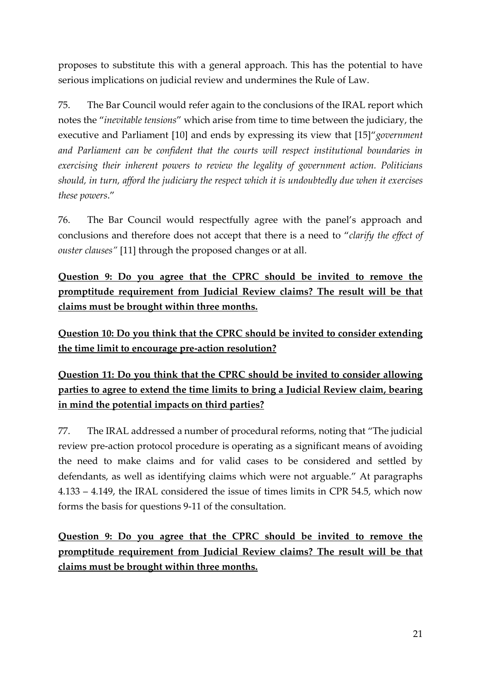proposes to substitute this with a general approach. This has the potential to have serious implications on judicial review and undermines the Rule of Law.

75. The Bar Council would refer again to the conclusions of the IRAL report which notes the "*inevitable tensions*" which arise from time to time between the judiciary, the executive and Parliament [10] and ends by expressing its view that [15]"*government and Parliament can be confident that the courts will respect institutional boundaries in exercising their inherent powers to review the legality of government action. Politicians should, in turn, afford the judiciary the respect which it is undoubtedly due when it exercises these powers*."

76. The Bar Council would respectfully agree with the panel's approach and conclusions and therefore does not accept that there is a need to "*clarify the effect of ouster clauses"* [11] through the proposed changes or at all.

**Question 9: Do you agree that the CPRC should be invited to remove the promptitude requirement from Judicial Review claims? The result will be that claims must be brought within three months.**

**Question 10: Do you think that the CPRC should be invited to consider extending the time limit to encourage pre-action resolution?**

**Question 11: Do you think that the CPRC should be invited to consider allowing parties to agree to extend the time limits to bring a Judicial Review claim, bearing in mind the potential impacts on third parties?**

77. The IRAL addressed a number of procedural reforms, noting that "The judicial review pre-action protocol procedure is operating as a significant means of avoiding the need to make claims and for valid cases to be considered and settled by defendants, as well as identifying claims which were not arguable." At paragraphs 4.133 – 4.149, the IRAL considered the issue of times limits in CPR 54.5, which now forms the basis for questions 9-11 of the consultation.

**Question 9: Do you agree that the CPRC should be invited to remove the promptitude requirement from Judicial Review claims? The result will be that claims must be brought within three months.**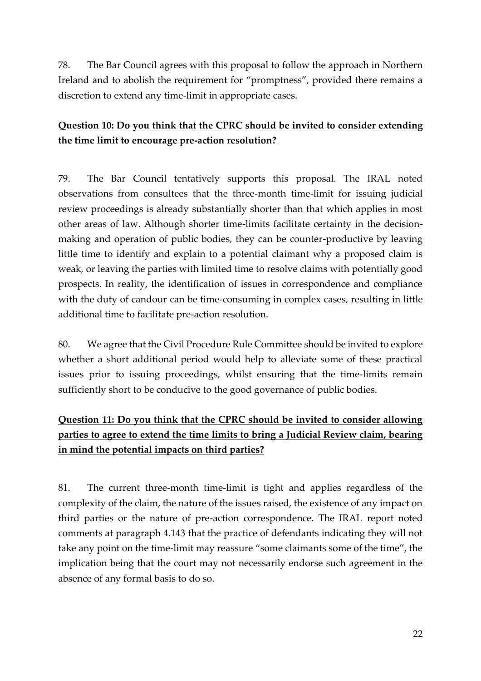78. The Bar Council agrees with this proposal to follow the approach in Northern Ireland and to abolish the requirement for "promptness", provided there remains a discretion to extend any time-limit in appropriate cases.

## **Question 10: Do you think that the CPRC should be invited to consider extending the time limit to encourage pre-action resolution?**

79. The Bar Council tentatively supports this proposal. The IRAL noted observations from consultees that the three-month time-limit for issuing judicial review proceedings is already substantially shorter than that which applies in most other areas of law. Although shorter time-limits facilitate certainty in the decisionmaking and operation of public bodies, they can be counter-productive by leaving little time to identify and explain to a potential claimant why a proposed claim is weak, or leaving the parties with limited time to resolve claims with potentially good prospects. In reality, the identification of issues in correspondence and compliance with the duty of candour can be time-consuming in complex cases, resulting in little additional time to facilitate pre-action resolution.

80. We agree that the Civil Procedure Rule Committee should be invited to explore whether a short additional period would help to alleviate some of these practical issues prior to issuing proceedings, whilst ensuring that the time-limits remain sufficiently short to be conducive to the good governance of public bodies.

## **Question 11: Do you think that the CPRC should be invited to consider allowing parties to agree to extend the time limits to bring a Judicial Review claim, bearing in mind the potential impacts on third parties?**

81. The current three-month time-limit is tight and applies regardless of the complexity of the claim, the nature of the issues raised, the existence of any impact on third parties or the nature of pre-action correspondence. The IRAL report noted comments at paragraph 4.143 that the practice of defendants indicating they will not take any point on the time-limit may reassure "some claimants some of the time", the implication being that the court may not necessarily endorse such agreement in the absence of any formal basis to do so.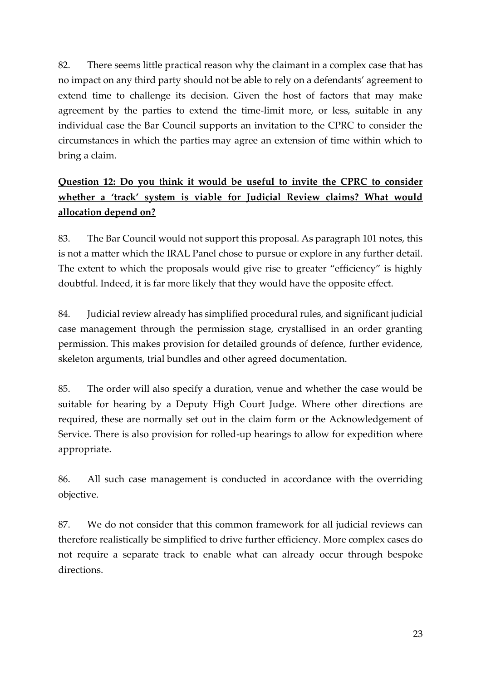82. There seems little practical reason why the claimant in a complex case that has no impact on any third party should not be able to rely on a defendants' agreement to extend time to challenge its decision. Given the host of factors that may make agreement by the parties to extend the time-limit more, or less, suitable in any individual case the Bar Council supports an invitation to the CPRC to consider the circumstances in which the parties may agree an extension of time within which to bring a claim.

# **Question 12: Do you think it would be useful to invite the CPRC to consider whether a 'track' system is viable for Judicial Review claims? What would allocation depend on?**

83. The Bar Council would not support this proposal. As paragraph 101 notes, this is not a matter which the IRAL Panel chose to pursue or explore in any further detail. The extent to which the proposals would give rise to greater "efficiency" is highly doubtful. Indeed, it is far more likely that they would have the opposite effect.

84. Judicial review already has simplified procedural rules, and significant judicial case management through the permission stage, crystallised in an order granting permission. This makes provision for detailed grounds of defence, further evidence, skeleton arguments, trial bundles and other agreed documentation.

85. The order will also specify a duration, venue and whether the case would be suitable for hearing by a Deputy High Court Judge. Where other directions are required, these are normally set out in the claim form or the Acknowledgement of Service. There is also provision for rolled-up hearings to allow for expedition where appropriate.

86. All such case management is conducted in accordance with the overriding objective.

87. We do not consider that this common framework for all judicial reviews can therefore realistically be simplified to drive further efficiency. More complex cases do not require a separate track to enable what can already occur through bespoke directions.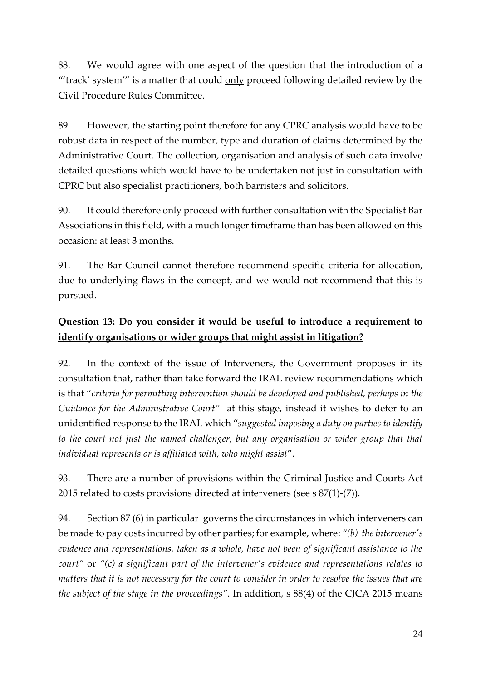88. We would agree with one aspect of the question that the introduction of a "'track' system'" is a matter that could only proceed following detailed review by the Civil Procedure Rules Committee.

89. However, the starting point therefore for any CPRC analysis would have to be robust data in respect of the number, type and duration of claims determined by the Administrative Court. The collection, organisation and analysis of such data involve detailed questions which would have to be undertaken not just in consultation with CPRC but also specialist practitioners, both barristers and solicitors.

90. It could therefore only proceed with further consultation with the Specialist Bar Associations in this field, with a much longer timeframe than has been allowed on this occasion: at least 3 months.

91. The Bar Council cannot therefore recommend specific criteria for allocation, due to underlying flaws in the concept, and we would not recommend that this is pursued.

## **Question 13: Do you consider it would be useful to introduce a requirement to identify organisations or wider groups that might assist in litigation?**

92. In the context of the issue of Interveners, the Government proposes in its consultation that, rather than take forward the IRAL review recommendations which is that "*criteria for permitting intervention should be developed and published, perhaps in the Guidance for the Administrative Court"* at this stage, instead it wishes to defer to an unidentified response to the IRAL which "*suggested imposing a duty on parties to identify*  to the court not just the named challenger, but any organisation or wider group that that *individual represents or is affiliated with, who might assist*".

93. There are a number of provisions within the Criminal Justice and Courts Act 2015 related to costs provisions directed at interveners (see s 87(1)-(7)).

94. Section 87 (6) in particular governs the circumstances in which interveners can be made to pay costs incurred by other parties; for example, where: *"(b) the intervener's evidence and representations, taken as a whole, have not been of significant assistance to the court"* or *"(c) a significant part of the intervener's evidence and representations relates to matters that it is not necessary for the court to consider in order to resolve the issues that are the subject of the stage in the proceedings"*. In addition, s 88(4) of the CJCA 2015 means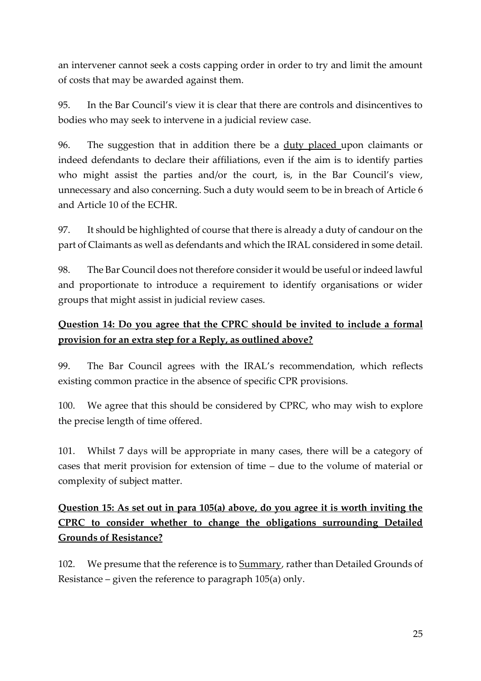an intervener cannot seek a costs capping order in order to try and limit the amount of costs that may be awarded against them.

95. In the Bar Council's view it is clear that there are controls and disincentives to bodies who may seek to intervene in a judicial review case.

96. The suggestion that in addition there be a duty placed upon claimants or indeed defendants to declare their affiliations, even if the aim is to identify parties who might assist the parties and/or the court, is, in the Bar Council's view, unnecessary and also concerning. Such a duty would seem to be in breach of Article 6 and Article 10 of the ECHR.

97. It should be highlighted of course that there is already a duty of candour on the part of Claimants as well as defendants and which the IRAL considered in some detail.

98. The Bar Council does not therefore consider it would be useful or indeed lawful and proportionate to introduce a requirement to identify organisations or wider groups that might assist in judicial review cases.

### **Question 14: Do you agree that the CPRC should be invited to include a formal provision for an extra step for a Reply, as outlined above?**

99. The Bar Council agrees with the IRAL's recommendation, which reflects existing common practice in the absence of specific CPR provisions.

100. We agree that this should be considered by CPRC, who may wish to explore the precise length of time offered.

101. Whilst 7 days will be appropriate in many cases, there will be a category of cases that merit provision for extension of time – due to the volume of material or complexity of subject matter.

## **Question 15: As set out in para 105(a) above, do you agree it is worth inviting the CPRC to consider whether to change the obligations surrounding Detailed Grounds of Resistance?**

102. We presume that the reference is to Summary, rather than Detailed Grounds of Resistance – given the reference to paragraph 105(a) only.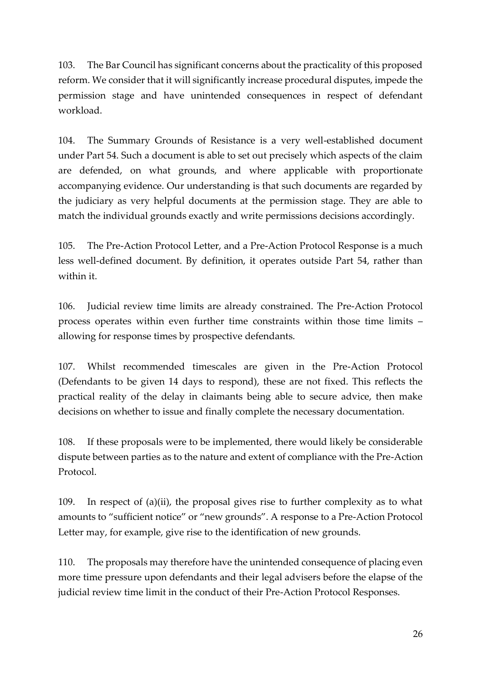103. The Bar Council has significant concerns about the practicality of this proposed reform. We consider that it will significantly increase procedural disputes, impede the permission stage and have unintended consequences in respect of defendant workload.

104. The Summary Grounds of Resistance is a very well-established document under Part 54. Such a document is able to set out precisely which aspects of the claim are defended, on what grounds, and where applicable with proportionate accompanying evidence. Our understanding is that such documents are regarded by the judiciary as very helpful documents at the permission stage. They are able to match the individual grounds exactly and write permissions decisions accordingly.

105. The Pre-Action Protocol Letter, and a Pre-Action Protocol Response is a much less well-defined document. By definition, it operates outside Part 54, rather than within it.

106. Judicial review time limits are already constrained. The Pre-Action Protocol process operates within even further time constraints within those time limits – allowing for response times by prospective defendants.

107. Whilst recommended timescales are given in the Pre-Action Protocol (Defendants to be given 14 days to respond), these are not fixed. This reflects the practical reality of the delay in claimants being able to secure advice, then make decisions on whether to issue and finally complete the necessary documentation.

108. If these proposals were to be implemented, there would likely be considerable dispute between parties as to the nature and extent of compliance with the Pre-Action Protocol.

109. In respect of (a)(ii), the proposal gives rise to further complexity as to what amounts to "sufficient notice" or "new grounds". A response to a Pre-Action Protocol Letter may, for example, give rise to the identification of new grounds.

110. The proposals may therefore have the unintended consequence of placing even more time pressure upon defendants and their legal advisers before the elapse of the judicial review time limit in the conduct of their Pre-Action Protocol Responses.